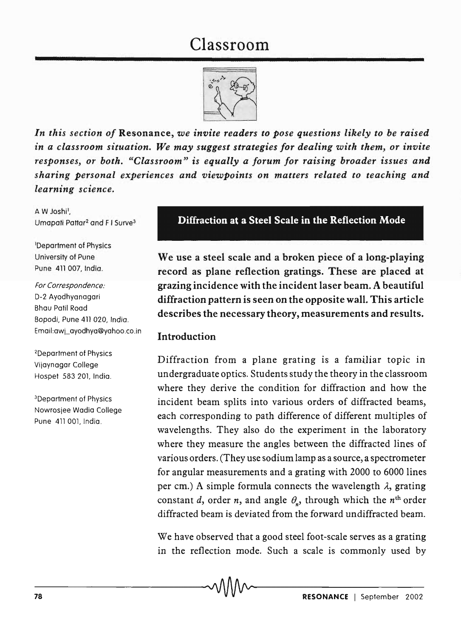# Classroom



*In this section of* Resonance, *we invite readers to pose questions likely to be raised in a classroom situation. We may suggest strategies for dealing with them, or invite responses, or both. "Classroom" is equally a forum for raising broader issues and sharing personal experiences and viewpoints on matters related to teaching and learning science.* 

A W Joshil, Umapati Pattar<sup>2</sup> and F I Surve<sup>3</sup>

lDepartment of Physics University of Pune Pune 411 007, India.

For Correspondence: D-2 Ayodhyanagari Bhau Patil Road Bopodi, Pune 411020, India. Email:awj\_ayodhya@yahoo.co.in

2Department of Physics Vijaynagar College Hospet 583 201, India.

3Departmenf of Physics Nowrosjee Wadia College Pune 411 001. India.

# Diffraction at a Steel Scale in the Reflection Mode

We use a steel scale and a broken piece of a long-playing record as plane reflection gratings. These are placed at grazing incidence with the incident laser beam. A beautiful diffraction pattern is seen on the opposite wall. This article describes the necessary theory, measurements and results.

## Introduction

Diffraction from a plane grating is a familiar topic in undergraduate optics. Students study the theory in the classroom where they derive the condition for diffraction and how the incident beam splits into various orders of diffracted beams, each corresponding to path difference of different multiples of wavelengths. They also do the experiment in the laboratory where they measure the angles between the diffracted lines of various orders. (They use sodium lamp as a source, a spectrometer for angular measurements and a grating with 2000 to 6000 lines per cm.) A simple formula connects the wavelength  $\lambda$ , grating constant *d*, order *n*, and angle  $\theta_n$ , through which the *n*<sup>th</sup> order diffracted beam is deviated from the forward undiffracted beam.

We have observed that a good steel foot-scale serves as a grating in the reflection mode. Such a scale is commonly used by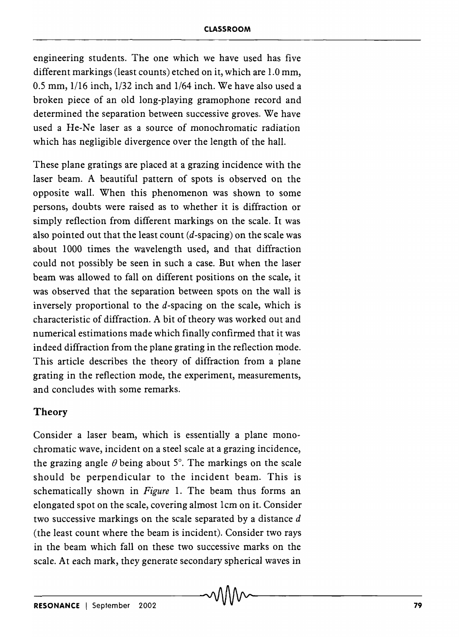engineering students. The one which we have used has five different markings (least counts) etched on it, which are 1.0 mm, 0.5 mm, 1/16 inch, 1/32 inch and 1/64 inch. We have also used a broken piece of an old long-playing gramophone record and determined the separation between successive groves. We have used a He-Ne laser as a source of monochromatic radiation which has negligible divergence over the length of the hall.

These plane gratings are placed at a grazing incidence with the laser beam. A beautiful pattern of spots is observed on the opposite wall. When this phenomenon was shown to some persons, doubts were raised as to whether it is diffraction or simply reflection from different markings on the scale. It was also pointed out that the least count  $(d$ -spacing) on the scale was about 1000 times the wavelength used, and that diffraction could not possibly be seen in such a case. But when the laser beam was allowed to fall on different positions on the scale, it was observed that the separation between spots on the wall is inversely proportional to the d-spacing on the scale, which is characteristic of diffraction. A bit of theory was worked out and numerical estimations made which finally confirmed that it was indeed diffraction from the plane grating in the reflection mode. This article describes the theory of diffraction from a plane grating in the reflection mode, the experiment, measurements, and concludes with some remarks.

# **Theory**

Consider a laser beam, which is essentially a plane monochromatic wave, incident on a steel scale at a grazing incidence, the grazing angle  $\theta$  being about 5°. The markings on the scale should be perpendicular to the incident beam. This is schematically shown in *Figure* 1. The beam thus forms an elongated spot on the scale, covering almost 1cm on it. Consider two successive markings on the scale separated by a distance *d*  (the least count where the beam is incident). Consider two rays in the beam which fall on these two successive marks on the scale. At each mark, they generate secondary spherical waves in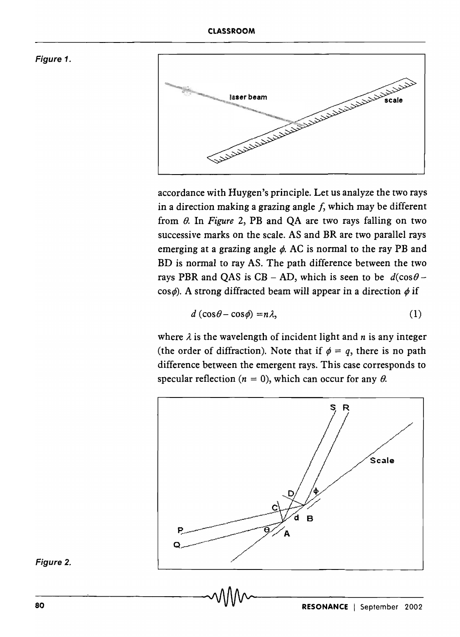#### Figure 1.



accordance with Huygen's principle. Let us analyze the two rays in a direction making a grazing angle  $f$ , which may be different from *B.* In *Figure* 2, PB and QA are two rays falling on two successive marks on the scale. AS and BR are two parallel rays emerging at a grazing angle  $\phi$ . AC is normal to the ray PB and BD is normal to ray AS. The path difference between the two rays PBR and QAS is CB - AD, which is seen to be  $d(\cos\theta \cos \phi$ ). A strong diffracted beam will appear in a direction  $\phi$  if

$$
d\left(\cos\theta - \cos\phi\right) = n\lambda, \tag{1}
$$

where  $\lambda$  is the wavelength of incident light and  $n$  is any integer (the order of diffraction). Note that if  $\phi = q$ , there is no path difference between the emergent rays. This case corresponds to specular reflection ( $n = 0$ ), which can occur for any  $\theta$ .



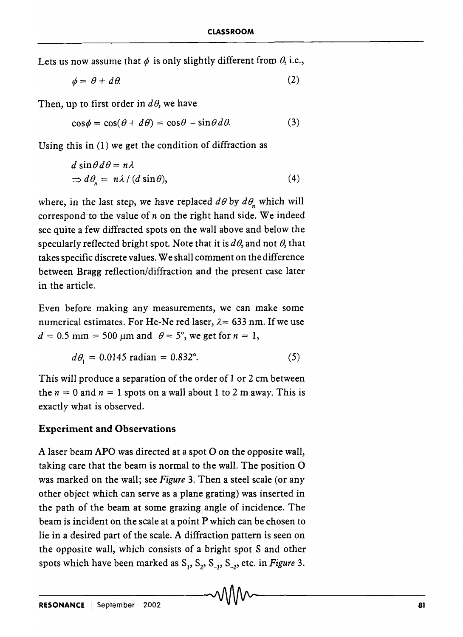Lets us now assume that  $\phi$  is only slightly different from  $\theta$ , i.e.,

$$
\phi = \theta + d\theta. \tag{2}
$$

Then, up to first order in  $d\theta$ , we have

$$
\cos \phi = \cos(\theta + d\theta) = \cos \theta - \sin \theta d\theta. \tag{3}
$$

Using this in (1) we get the condition of diffraction as

$$
d \sin \theta \, d\theta = n\lambda
$$
  
\n
$$
\Rightarrow d\theta_n = n\lambda / (d \sin \theta),
$$
\n(4)

where, in the last step, we have replaced  $d\theta$  by  $d\theta_n$  which will correspond-to the value of *n* on the right hand side. We indeed see quite a few diffracted spots on the wall above and below the specularly reflected bright spot. Note that it is  $d\theta$ , and not  $\theta$ , that takes specific discrete values. We shall comment on the difference between Bragg reflection/diffraction and the present case later in the article.

Even before making any measurements, we can make some numerical estimates. For He-Ne red laser,  $\lambda$ = 633 nm. If we use  $d = 0.5$  mm = 500 µm and  $\theta = 5^\circ$ , we get for  $n = 1$ ,

$$
d\theta_1 = 0.0145 \text{ radian} = 0.832^{\circ}. \tag{5}
$$

This will produce a separation of the order of 1 or 2 em between the  $n = 0$  and  $n = 1$  spots on a wall about 1 to 2 m away. This is exactly what is observed.

#### **Experiment and Observations**

A laser beam APO was directed at a spot O on the opposite wall, taking care that the beam is normal to the wall. The position 0 was marked on the wall; see *Figure* 3. Then a steel scale (or any other object which can serve as a plane grating) was inserted in the path of the beam at some grazing angle of incidence. The beam is incident on the scale at a point P which can be chosen to lie in a desired part of the scale. A diffraction pattern is seen on the opposite wall, which consists of a bright spot S and other spots which have been marked as  $S_1$ ,  $S_2$ ,  $S_3$ ,  $S_4$ , etc. in *Figure* 3.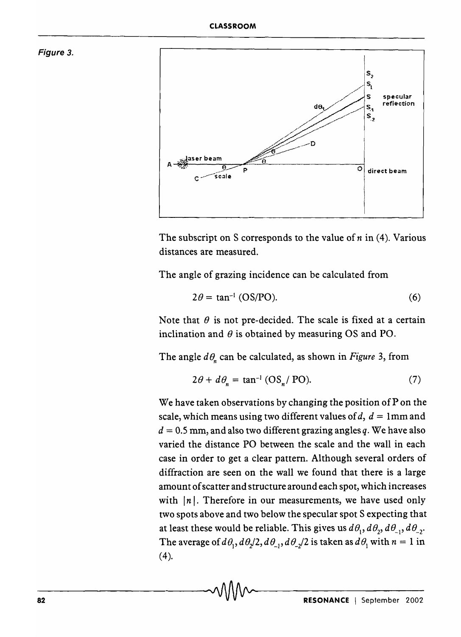



The subscript on S corresponds to the value of *n* in (4). Various distances are measured.

The angle of grazing incidence can be calculated from

$$
2\theta = \tan^{-1} (OS/PO). \tag{6}
$$

Note that  $\theta$  is not pre-decided. The scale is fixed at a certain inclination and  $\theta$  is obtained by measuring OS and PO.

The angle  $d\theta$  can be calculated, as shown in *Figure* 3, from

$$
2\theta + d\theta_n = \tan^{-1} (OS_n / PO).
$$
 (7)

We have taken observations by changing the position of  $P$  on the scale, which means using two different values of  $d$ ,  $d = 1$ mm and  $d = 0.5$  mm, and also two different grazing angles q. We have also varied the distance PO between the scale and the wall in each case in order to get a clear pattern. Although several orders of diffraction are seen on the wall we found that there is a large amount of scatter and structure around each spot, which increases with  $|n|$ . Therefore in our measurements, we have used only two spots above and two below the specular spot S expecting that at least these would be reliable. This gives us  $d\theta_1, d\theta_2, d\theta_3, d\theta_2$ . The average of  $d\theta_1$ ,  $d\theta_2/2$ ,  $d\theta_{-1}$ ,  $d\theta_{-2}/2$  is taken as  $d\theta_1$  with  $n = 1$  in  $(4)$ .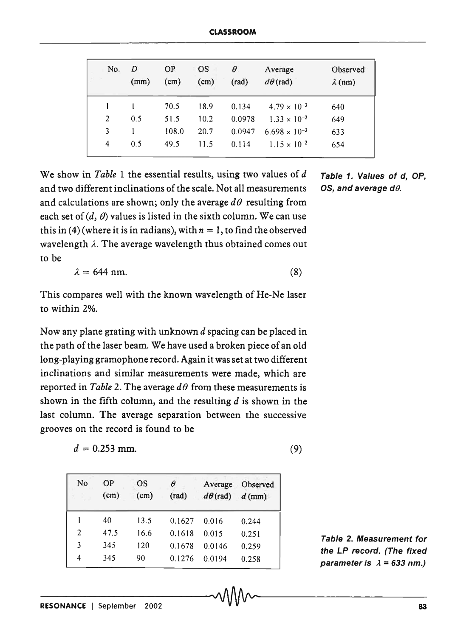| No.                      | D<br>(mm) | <b>OP</b><br>(cm) | <b>OS</b><br>(cm) | θ<br>(rad) | Average<br>$d\theta$ (rad) | Observed<br>$\lambda$ (nm) |
|--------------------------|-----------|-------------------|-------------------|------------|----------------------------|----------------------------|
|                          |           | 70.5              | 18.9              | 0.134      | $4.79 \times 10^{-3}$      | 640                        |
| $\overline{2}$           | 0.5       | 51.5              | 10.2              | 0.0978     | $1.33 \times 10^{-2}$      | 649                        |
| 3                        |           | 108.0             | 20.7              | 0.0947     | $6.698 \times 10^{-3}$     | 633                        |
| $\overline{\mathcal{A}}$ | 0.5       | 49.5              | 11.5              | 0.114      | $1.15 \times 10^{-2}$      | 654                        |
|                          |           |                   |                   |            |                            |                            |

We show in *Table* 1 the essential results, using two values of *d* Table 1. Values of *d*, OP, and two different inclinations of the scale. Not all measurements OS, and average  $d\theta$ . and calculations are shown; only the average  $d\theta$  resulting from each set of  $(d, \theta)$  values is listed in the sixth column. We can use this in (4) (where it is in radians), with  $n = 1$ , to find the observed wavelength  $\lambda$ . The average wavelength thus obtained comes out to be

$$
\lambda = 644 \text{ nm.} \tag{8}
$$

This compares well with the known wavelength of He-Ne laser to within 2%.

Now any plane grating with unknown *d* spacing can be placed in the path of the laser beam. We have used a broken piece of an old long-playing gramophone record. Again it was set at two different inclinations and similar measurements were made, which are reported in *Table 2*. The average  $d\theta$  from these measurements is shown in the fifth column, and the resulting  $d$  is shown in the last column. The average separation between the successive grooves on the record is found to be

$$
d = 0.253 \text{ mm.} \tag{9}
$$

| No | <b>OP</b><br>(cm) | OS<br>(cm) | θ<br>(rad) | Average<br>$d\theta$ (rad) | Observed<br>$d$ (mm) |
|----|-------------------|------------|------------|----------------------------|----------------------|
|    | 40                | 13.5       | 0.1627     | 0.016                      | 0.244                |
| 2  | 47.5              | 16.6       | 0.1618     | 0.015                      | 0.251                |
| 3  | 345               | 120        | 0.1678     | 0.0146                     | 0.259                |
| 4  | 345               | 90         | 0.1276     | 0.0194                     | 0.258                |

Table 2. Measurement for the LP record. (The fixed parameter is  $\lambda = 633$  nm.)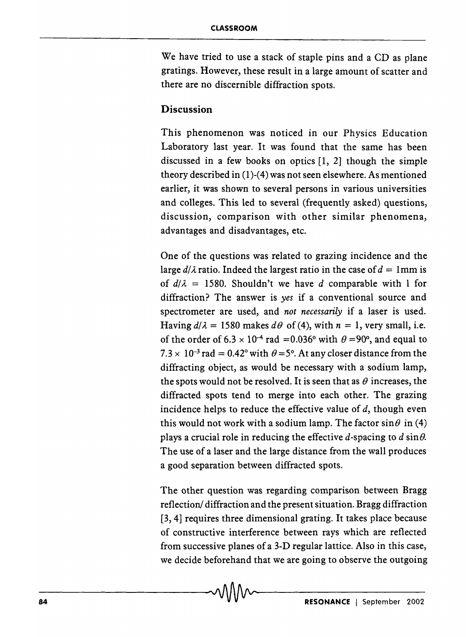We have tried to use a stack of staple pins and a CD as plane gratings. However, these result in a large amount of scatter and there are no discernible diffraction spots.

# Discussion

This phenomenon was noticed in our Physics Education Laboratory last year. It was found that the same has been discussed in a few books on optics [1, 2] though the simple theory described in (1)-(4) was not seen elsewhere. As mentioned earlier, it was shown to several persons in various universities and colleges. This led to several (frequently asked) questions, discussion, comparison with other similar phenomena, advantages and disadvantages, etc.

One of the questions was related to grazing incidence and the large  $d/\lambda$  ratio. Indeed the largest ratio in the case of  $d = 1$ mm is of  $d/\lambda = 1580$ . Shouldn't we have *d* comparable with 1 for diffraction? The answer is *yes* if a conventional source and spectrometer are used, and *not necessarily* if a laser is used. Having  $d/\lambda = 1580$  makes  $d\theta$  of (4), with  $n = 1$ , very small, i.e. of the order of  $6.3 \times 10^{-4}$  rad = 0.036° with  $\theta$  = 90°, and equal to  $7.3 \times 10^{-3}$  rad = 0.42° with  $\theta = 5^{\circ}$ . At any closer distance from the diffracting object, as would be necessary with a sodium lamp, the spots would not be resolved. It is seen that as  $\theta$  increases, the diffracted spots tend to merge into each other. The grazing incidence helps to reduce the effective value of  $d$ , though even this would not work with a sodium lamp. The factor  $\sin\theta$  in (4) plays a crucial role in reducing the effective d-spacing to  $d \sin \theta$ . The use of a laser and the large distance from the wall produces a good separation between diffracted spots.

The other question was regarding comparison between Bragg reflection/ diffraction and the present situation. Bragg diffraction [3, 4] requires three dimensional grating. It takes place because of constructive interference between rays which are reflected from successive planes of a 3-D regular lattice. Also in this case, we decide beforehand that we are going to observe the outgoing